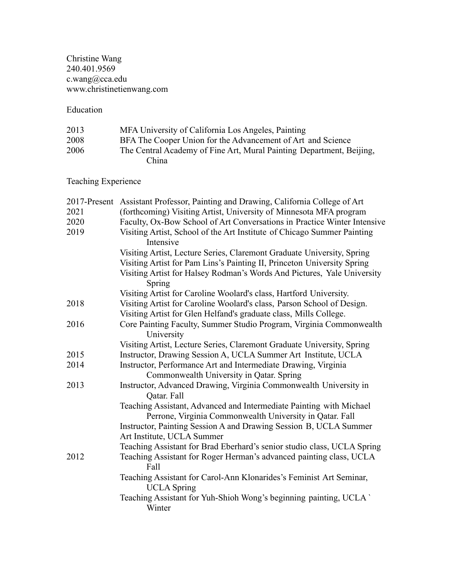#### Christine Wang 240.401.9569 c.wang@cca.edu www.christinetienwang.com

### Education

| 2013 | MFA University of California Los Angeles, Painting                   |
|------|----------------------------------------------------------------------|
| 2008 | BFA The Cooper Union for the Advancement of Art and Science          |
| 2006 | The Central Academy of Fine Art, Mural Painting Department, Beijing, |
|      | China.                                                               |

Teaching Experience

|      | 2017-Present Assistant Professor, Painting and Drawing, California College of Art         |
|------|-------------------------------------------------------------------------------------------|
| 2021 | (forthcoming) Visiting Artist, University of Minnesota MFA program                        |
| 2020 | Faculty, Ox-Bow School of Art Conversations in Practice Winter Intensive                  |
| 2019 | Visiting Artist, School of the Art Institute of Chicago Summer Painting<br>Intensive      |
|      | Visiting Artist, Lecture Series, Claremont Graduate University, Spring                    |
|      | Visiting Artist for Pam Lins's Painting II, Princeton University Spring                   |
|      | Visiting Artist for Halsey Rodman's Words And Pictures, Yale University<br>Spring         |
|      | Visiting Artist for Caroline Woolard's class, Hartford University.                        |
| 2018 | Visiting Artist for Caroline Woolard's class, Parson School of Design.                    |
|      | Visiting Artist for Glen Helfand's graduate class, Mills College.                         |
| 2016 | Core Painting Faculty, Summer Studio Program, Virginia Commonwealth<br>University         |
|      | Visiting Artist, Lecture Series, Claremont Graduate University, Spring                    |
| 2015 | Instructor, Drawing Session A, UCLA Summer Art Institute, UCLA                            |
| 2014 | Instructor, Performance Art and Intermediate Drawing, Virginia                            |
|      | Commonwealth University in Qatar. Spring                                                  |
| 2013 | Instructor, Advanced Drawing, Virginia Commonwealth University in<br>Qatar. Fall          |
|      | Teaching Assistant, Advanced and Intermediate Painting with Michael                       |
|      | Perrone, Virginia Commonwealth University in Qatar. Fall                                  |
|      | Instructor, Painting Session A and Drawing Session B, UCLA Summer                         |
|      | Art Institute, UCLA Summer                                                                |
|      | Teaching Assistant for Brad Eberhard's senior studio class, UCLA Spring                   |
| 2012 | Teaching Assistant for Roger Herman's advanced painting class, UCLA<br>Fall               |
|      | Teaching Assistant for Carol-Ann Klonarides's Feminist Art Seminar,<br><b>UCLA</b> Spring |
|      | Teaching Assistant for Yuh-Shioh Wong's beginning painting, UCLA<br>Winter                |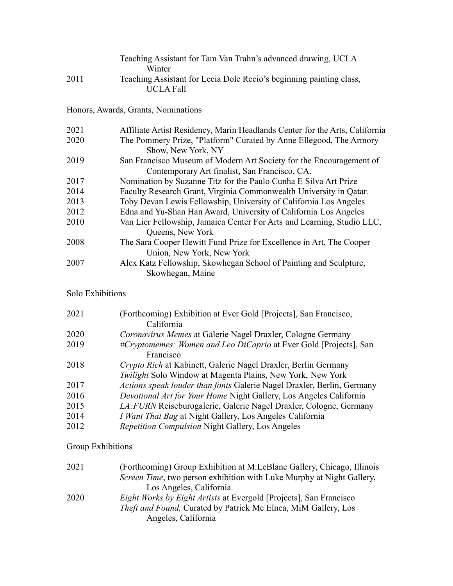|      | Teaching Assistant for Tam Van Trahn's advanced drawing, UCLA<br>Winter                          |
|------|--------------------------------------------------------------------------------------------------|
| 2011 | Teaching Assistant for Lecia Dole Recio's beginning painting class,<br><b>UCLA Fall</b>          |
|      | Honors, Awards, Grants, Nominations                                                              |
| 2021 | Affiliate Artist Residency, Marin Headlands Center for the Arts, California                      |
| 2020 | The Pommery Prize, "Platform" Curated by Anne Ellegood, The Armory                               |
|      | Show, New York, NY                                                                               |
| 2019 | San Francisco Museum of Modern Art Society for the Encouragement of                              |
|      | Contemporary Art finalist, San Francisco, CA.                                                    |
| 2017 | Nomination by Suzanne Titz for the Paulo Cunha E Silva Art Prize                                 |
| 2014 | Faculty Research Grant, Virginia Commonwealth University in Qatar.                               |
| 2013 | Toby Devan Lewis Fellowship, University of California Los Angeles                                |
| 2012 | Edna and Yu-Shan Han Award, University of California Los Angeles                                 |
| 2010 | Van Lier Fellowship, Jamaica Center For Arts and Learning, Studio LLC,<br>Queens, New York       |
| 2008 | The Sara Cooper Hewitt Fund Prize for Excellence in Art, The Cooper<br>Union, New York, New York |
| 2007 | Alex Katz Fellowship, Skowhegan School of Painting and Sculpture,<br>Skowhegan, Maine            |

# Solo Exhibitions

| 2021 | (Forthcoming) Exhibition at Ever Gold [Projects], San Francisco,<br>California |
|------|--------------------------------------------------------------------------------|
| 2020 | Coronavirus Memes at Galerie Nagel Draxler, Cologne Germany                    |
| 2019 | #Cryptomemes: Women and Leo DiCaprio at Ever Gold [Projects], San              |
|      | Francisco                                                                      |
| 2018 | Crypto Rich at Kabinett, Galerie Nagel Draxler, Berlin Germany                 |
|      | Twilight Solo Window at Magenta Plains, New York, New York                     |
| 2017 | Actions speak louder than fonts Galerie Nagel Draxler, Berlin, Germany         |
| 2016 | Devotional Art for Your Home Night Gallery, Los Angeles California             |
| 2015 | LA: FURN Reiseburogalerie, Galerie Nagel Draxler, Cologne, Germany             |
| 2014 | <i>I Want That Bag</i> at Night Gallery, Los Angeles California                |
| 2012 | <i>Repetition Compulsion Night Gallery, Los Angeles</i>                        |
|      |                                                                                |

# Group Exhibitions

| 2021 | (Forthcoming) Group Exhibition at M.LeBlanc Gallery, Chicago, Illinois        |
|------|-------------------------------------------------------------------------------|
|      | <i>Screen Time</i> , two person exhibition with Luke Murphy at Night Gallery, |
|      | Los Angeles, California                                                       |
| 2020 | <i>Eight Works by Eight Artists at Evergold [Projects], San Francisco</i>     |
|      | <i>Theft and Found</i> , Curated by Patrick Mc Elnea, MiM Gallery, Los        |
|      | Angeles, California                                                           |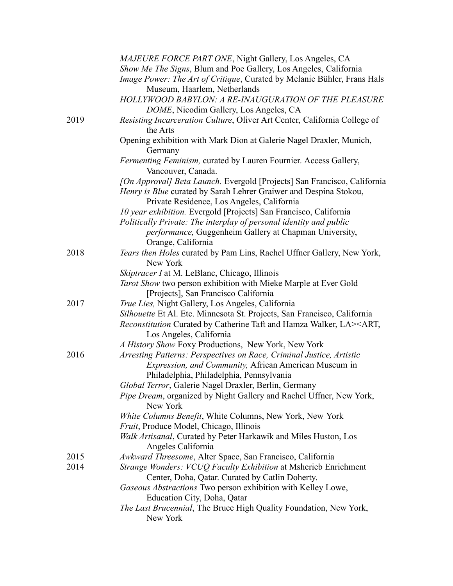|      | MAJEURE FORCE PART ONE, Night Gallery, Los Angeles, CA                                                             |
|------|--------------------------------------------------------------------------------------------------------------------|
|      | Show Me The Signs, Blum and Poe Gallery, Los Angeles, California                                                   |
|      | Image Power: The Art of Critique, Curated by Melanie Bühler, Frans Hals                                            |
|      | Museum, Haarlem, Netherlands                                                                                       |
|      | HOLLYWOOD BABYLON: A RE-INAUGURATION OF THE PLEASURE                                                               |
|      | DOME, Nicodim Gallery, Los Angeles, CA                                                                             |
| 2019 | Resisting Incarceration Culture, Oliver Art Center, California College of<br>the Arts                              |
|      | Opening exhibition with Mark Dion at Galerie Nagel Draxler, Munich,<br>Germany                                     |
|      | Fermenting Feminism, curated by Lauren Fournier. Access Gallery,<br>Vancouver, Canada.                             |
|      | [On Approval] Beta Launch. Evergold [Projects] San Francisco, California                                           |
|      | Henry is Blue curated by Sarah Lehrer Graiwer and Despina Stokou,                                                  |
|      | Private Residence, Los Angeles, California                                                                         |
|      | 10 year exhibition. Evergold [Projects] San Francisco, California                                                  |
|      | Politically Private: The interplay of personal identity and public                                                 |
|      | performance, Guggenheim Gallery at Chapman University,                                                             |
|      | Orange, California                                                                                                 |
| 2018 | Tears then Holes curated by Pam Lins, Rachel Uffner Gallery, New York,<br>New York                                 |
|      | Skiptracer I at M. LeBlanc, Chicago, Illinois                                                                      |
|      | Tarot Show two person exhibition with Mieke Marple at Ever Gold<br>[Projects], San Francisco California            |
| 2017 | True Lies, Night Gallery, Los Angeles, California                                                                  |
|      | Silhouette Et Al. Etc. Minnesota St. Projects, San Francisco, California                                           |
|      | Reconstitution Curated by Catherine Taft and Hamza Walker, LA> <art,<br>Los Angeles, California</art,<br>          |
|      | A History Show Foxy Productions, New York, New York                                                                |
| 2016 | Arresting Patterns: Perspectives on Race, Criminal Justice, Artistic                                               |
|      | <i>Expression, and Community, African American Museum in</i>                                                       |
|      | Philadelphia, Philadelphia, Pennsylvania                                                                           |
|      | Global Terror, Galerie Nagel Draxler, Berlin, Germany                                                              |
|      | Pipe Dream, organized by Night Gallery and Rachel Uffner, New York,<br>New York                                    |
|      | White Columns Benefit, White Columns, New York, New York                                                           |
|      | Fruit, Produce Model, Chicago, Illinois                                                                            |
|      | Walk Artisanal, Curated by Peter Harkawik and Miles Huston, Los<br>Angeles California                              |
| 2015 | Awkward Threesome, Alter Space, San Francisco, California                                                          |
| 2014 | Strange Wonders: VCUQ Faculty Exhibition at Msherieb Enrichment<br>Center, Doha, Qatar. Curated by Catlin Doherty. |
|      | Gaseous Abstractions Two person exhibition with Kelley Lowe,                                                       |
|      | Education City, Doha, Qatar                                                                                        |
|      | The Last Brucennial, The Bruce High Quality Foundation, New York,                                                  |
|      | New York                                                                                                           |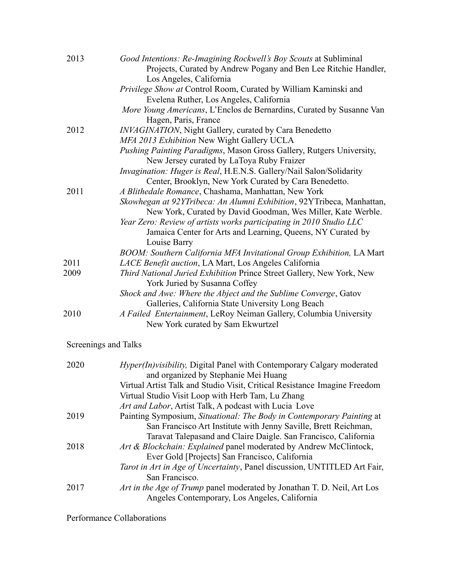| 2013 | Good Intentions: Re-Imagining Rockwell's Boy Scouts at Subliminal<br>Projects, Curated by Andrew Pogany and Ben Lee Ritchie Handler,<br>Los Angeles, California |
|------|-----------------------------------------------------------------------------------------------------------------------------------------------------------------|
|      | Privilege Show at Control Room, Curated by William Kaminski and                                                                                                 |
|      | Evelena Ruther, Los Angeles, California                                                                                                                         |
|      | More Young Americans, L'Enclos de Bernardins, Curated by Susanne Van<br>Hagen, Paris, France                                                                    |
| 2012 | <b>INVAGINATION, Night Gallery, curated by Cara Benedetto</b>                                                                                                   |
|      | MFA 2013 Exhibition New Wight Gallery UCLA                                                                                                                      |
|      | Pushing Painting Paradigms, Mason Gross Gallery, Rutgers University,                                                                                            |
|      | New Jersey curated by LaToya Ruby Fraizer                                                                                                                       |
|      | Invagination: Huger is Real, H.E.N.S. Gallery/Nail Salon/Solidarity                                                                                             |
|      | Center, Brooklyn, New York Curated by Cara Benedetto.                                                                                                           |
| 2011 | A Blithedale Romance, Chashama, Manhattan, New York                                                                                                             |
|      | Skowhegan at 92YTribeca: An Alumni Exhibition, 92YTribeca, Manhattan,                                                                                           |
|      | New York, Curated by David Goodman, Wes Miller, Kate Werble.                                                                                                    |
|      | Year Zero: Review of artists works participating in 2010 Studio LLC                                                                                             |
|      | Jamaica Center for Arts and Learning, Queens, NY Curated by                                                                                                     |
|      | Louise Barry                                                                                                                                                    |
|      | BOOM: Southern California MFA Invitational Group Exhibition, LA Mart                                                                                            |
| 2011 | LACE Benefit auction, LA Mart, Los Angeles California                                                                                                           |
| 2009 | Third National Juried Exhibition Prince Street Gallery, New York, New                                                                                           |
|      | York Juried by Susanna Coffey                                                                                                                                   |
|      | Shock and Awe: Where the Abject and the Sublime Converge, Gatov                                                                                                 |
|      | Galleries, California State University Long Beach                                                                                                               |
| 2010 | A Failed Entertainment, LeRoy Neiman Gallery, Columbia University                                                                                               |
|      | New York curated by Sam Ekwurtzel                                                                                                                               |

# Screenings and Talks

| 2020 | <i>Hyper(In)visibility</i> , Digital Panel with Contemporary Calgary moderated |
|------|--------------------------------------------------------------------------------|
|      | and organized by Stephanie Mei Huang                                           |
|      | Virtual Artist Talk and Studio Visit, Critical Resistance Imagine Freedom      |
|      | Virtual Studio Visit Loop with Herb Tam, Lu Zhang                              |
|      | Art and Labor, Artist Talk, A podcast with Lucia Love                          |
| 2019 | Painting Symposium, Situational: The Body in Contemporary Painting at          |
|      | San Francisco Art Institute with Jenny Saville, Brett Reichman,                |
|      | Taravat Talepasand and Claire Daigle. San Francisco, California                |
| 2018 | Art & Blockchain: Explained panel moderated by Andrew McClintock,              |
|      | Ever Gold [Projects] San Francisco, California                                 |
|      | Tarot in Art in Age of Uncertainty, Panel discussion, UNTITLED Art Fair,       |
|      | San Francisco.                                                                 |
| 2017 | Art in the Age of Trump panel moderated by Jonathan T. D. Neil, Art Los        |
|      | Angeles Contemporary, Los Angeles, California                                  |

Performance Collaborations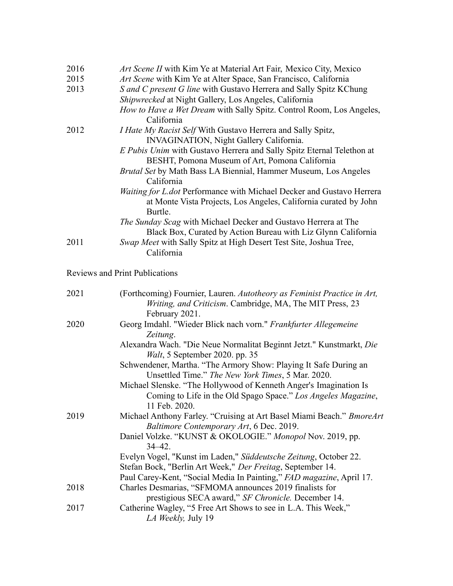| 2016 | Art Scene II with Kim Ye at Material Art Fair, Mexico City, Mexico           |
|------|------------------------------------------------------------------------------|
| 2015 | Art Scene with Kim Ye at Alter Space, San Francisco, California              |
| 2013 | S and C present G line with Gustavo Herrera and Sally Spitz KChung           |
|      | Shipwrecked at Night Gallery, Los Angeles, California                        |
|      | <i>How to Have a Wet Dream with Sally Spitz. Control Room, Los Angeles,</i>  |
|      | California                                                                   |
| 2012 | <i>I Hate My Racist Self</i> With Gustavo Herrera and Sally Spitz,           |
|      | INVAGINATION, Night Gallery California.                                      |
|      | E Pubis Unim with Gustavo Herrera and Sally Spitz Eternal Telethon at        |
|      | BESHT, Pomona Museum of Art, Pomona California                               |
|      | <i>Brutal Set</i> by Math Bass LA Biennial, Hammer Museum, Los Angeles       |
|      | California                                                                   |
|      | <i>Waiting for L.dot Performance with Michael Decker and Gustavo Herrera</i> |
|      | at Monte Vista Projects, Los Angeles, California curated by John             |
|      | Burtle.                                                                      |
|      | <i>The Sunday Scag</i> with Michael Decker and Gustavo Herrera at The        |
|      | Black Box, Curated by Action Bureau with Liz Glynn California                |
| 2011 | Swap Meet with Sally Spitz at High Desert Test Site, Joshua Tree,            |
|      | California                                                                   |

Reviews and Print Publications

| 2021 | (Forthcoming) Fournier, Lauren. Autotheory as Feminist Practice in Art,                                                                             |
|------|-----------------------------------------------------------------------------------------------------------------------------------------------------|
|      | Writing, and Criticism. Cambridge, MA, The MIT Press, 23<br>February 2021.                                                                          |
| 2020 | Georg Imdahl. "Wieder Blick nach vorn." Frankfurter Allegemeine<br>Zeitung.                                                                         |
|      | Alexandra Wach. "Die Neue Normalitat Beginnt Jetzt." Kunstmarkt, Die<br><i>Walt</i> , 5 September 2020. pp. 35                                      |
|      | Schwendener, Martha. "The Armory Show: Playing It Safe During an<br>Unsettled Time." The New York Times, 5 Mar. 2020.                               |
|      | Michael Slenske. "The Hollywood of Kenneth Anger's Imagination Is<br>Coming to Life in the Old Spago Space." Los Angeles Magazine,<br>11 Feb. 2020. |
| 2019 | Michael Anthony Farley. "Cruising at Art Basel Miami Beach." BmoreArt<br>Baltimore Contemporary Art, 6 Dec. 2019.                                   |
|      | Daniel Volzke. "KUNST & OKOLOGIE." Monopol Nov. 2019, pp.<br>$34 - 42$ .                                                                            |
|      | Evelyn Vogel, "Kunst im Laden," Süddeutsche Zeitung, October 22.<br>Stefan Bock, "Berlin Art Week," Der Freitag, September 14.                      |
|      | Paul Carey-Kent, "Social Media In Painting," FAD magazine, April 17.                                                                                |
| 2018 | Charles Desmarias, "SFMOMA announces 2019 finalists for                                                                                             |
| 2017 | prestigious SECA award," SF Chronicle. December 14.<br>Catherine Wagley, "5 Free Art Shows to see in L.A. This Week,"<br>LA Weekly, July 19         |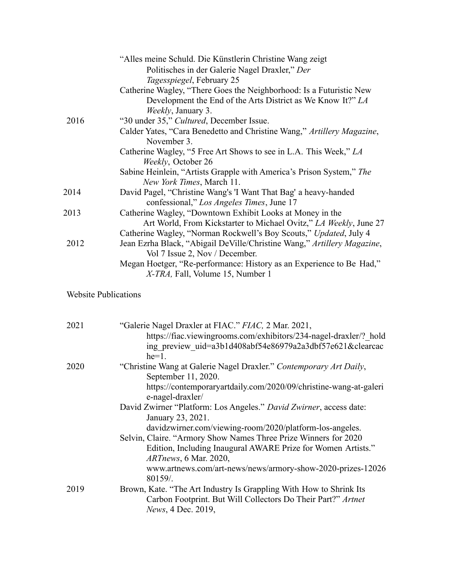|      | "Alles meine Schuld. Die Künstlerin Christine Wang zeigt                              |
|------|---------------------------------------------------------------------------------------|
|      | Politisches in der Galerie Nagel Draxler," Der                                        |
|      | <i>Tagesspiegel</i> , February 25                                                     |
|      | Catherine Wagley, "There Goes the Neighborhood: Is a Futuristic New                   |
|      | Development the End of the Arts District as We Know It?" LA                           |
|      | <i>Weekly</i> , January 3.                                                            |
| 2016 | "30 under 35," Cultured, December Issue.                                              |
|      | Calder Yates, "Cara Benedetto and Christine Wang," Artillery Magazine,<br>November 3. |
|      | Catherine Wagley, "5 Free Art Shows to see in L.A. This Week," LA                     |
|      | Weekly, October 26                                                                    |
|      | Sabine Heinlein, "Artists Grapple with America's Prison System," The                  |
|      | New York Times, March 11.                                                             |
| 2014 | David Pagel, "Christine Wang's 'I Want That Bag' a heavy-handed                       |
|      | confessional," Los Angeles Times, June 17                                             |
| 2013 | Catherine Wagley, "Downtown Exhibit Looks at Money in the                             |
|      | Art World, From Kickstarter to Michael Ovitz," LA Weekly, June 27                     |
|      | Catherine Wagley, "Norman Rockwell's Boy Scouts," Updated, July 4                     |
| 2012 | Jean Ezrha Black, "Abigail DeVille/Christine Wang," Artillery Magazine,               |
|      | Vol 7 Issue 2, Nov / December.                                                        |
|      | Megan Hoetger, "Re-performance: History as an Experience to Be Had,"                  |
|      | <i>X-TRA</i> , Fall, Volume 15, Number 1                                              |
|      |                                                                                       |

# Website Publications

| 2021 | "Galerie Nagel Draxler at FIAC." FIAC, 2 Mar. 2021,                                   |
|------|---------------------------------------------------------------------------------------|
|      | https://fiac.viewingrooms.com/exhibitors/234-nagel-draxler/? hold                     |
|      | ing preview uid=a3b1d408abf54e86979a2a3dbf57e621&clearcac                             |
|      | $he=1$ .                                                                              |
| 2020 | "Christine Wang at Galerie Nagel Draxler." Contemporary Art Daily,                    |
|      | September 11, 2020.                                                                   |
|      | https://contemporaryartdaily.com/2020/09/christine-wang-at-galeri                     |
|      | e-nagel-draxler/                                                                      |
|      | David Zwirner "Platform: Los Angeles." David Zwirner, access date:                    |
|      | January 23, 2021.                                                                     |
|      | davidzwirner.com/viewing-room/2020/platform-los-angeles.                              |
|      | Selvin, Claire. "Armory Show Names Three Prize Winners for 2020                       |
|      | Edition, Including Inaugural AWARE Prize for Women Artists."<br>ARTnews, 6 Mar. 2020, |
|      | www.artnews.com/art-news/news/armory-show-2020-prizes-12026<br>80159/                 |
| 2019 | Brown, Kate. "The Art Industry Is Grappling With How to Shrink Its                    |
|      | Carbon Footprint. But Will Collectors Do Their Part?" Artnet                          |
|      | News, 4 Dec. 2019,                                                                    |
|      |                                                                                       |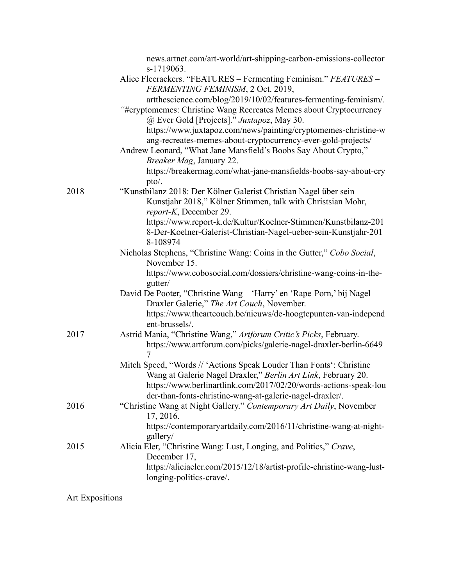|      | news.artnet.com/art-world/art-shipping-carbon-emissions-collector<br>s-1719063.                                                                                                                                                                                                                                        |
|------|------------------------------------------------------------------------------------------------------------------------------------------------------------------------------------------------------------------------------------------------------------------------------------------------------------------------|
|      | Alice Fleerackers. "FEATURES - Fermenting Feminism." FEATURES -<br>FERMENTING FEMINISM, 2 Oct. 2019,                                                                                                                                                                                                                   |
|      | artthescience.com/blog/2019/10/02/features-fermenting-feminism/.<br>"#cryptomemes: Christine Wang Recreates Memes about Cryptocurrency<br>@ Ever Gold [Projects]." Juxtapoz, May 30.<br>https://www.juxtapoz.com/news/painting/cryptomemes-christine-w<br>ang-recreates-memes-about-cryptocurrency-ever-gold-projects/ |
|      | Andrew Leonard, "What Jane Mansfield's Boobs Say About Crypto,"<br>Breaker Mag, January 22.<br>https://breakermag.com/what-jane-mansfields-boobs-say-about-cry                                                                                                                                                         |
|      | pto'.                                                                                                                                                                                                                                                                                                                  |
| 2018 | "Kunstbilanz 2018: Der Kölner Galerist Christian Nagel über sein<br>Kunstjahr 2018," Kölner Stimmen, talk with Christsian Mohr,<br>report-K, December 29.                                                                                                                                                              |
|      | https://www.report-k.de/Kultur/Koelner-Stimmen/Kunstbilanz-201<br>8-Der-Koelner-Galerist-Christian-Nagel-ueber-sein-Kunstjahr-201<br>8-108974                                                                                                                                                                          |
|      | Nicholas Stephens, "Christine Wang: Coins in the Gutter," Cobo Social,<br>November 15.                                                                                                                                                                                                                                 |
|      | https://www.cobosocial.com/dossiers/christine-wang-coins-in-the-<br>gutter/                                                                                                                                                                                                                                            |
|      | David De Pooter, "Christine Wang - 'Harry' en 'Rape Porn,' bij Nagel<br>Draxler Galerie," The Art Couch, November.                                                                                                                                                                                                     |
|      | https://www.theartcouch.be/nieuws/de-hoogtepunten-van-independ<br>ent-brussels/.                                                                                                                                                                                                                                       |
| 2017 | Astrid Mania, "Christine Wang," Artforum Critic's Picks, February.<br>https://www.artforum.com/picks/galerie-nagel-draxler-berlin-6649<br>7                                                                                                                                                                            |
|      | Mitch Speed, "Words // 'Actions Speak Louder Than Fonts': Christine<br>Wang at Galerie Nagel Draxler," Berlin Art Link, February 20.<br>https://www.berlinartlink.com/2017/02/20/words-actions-speak-lou<br>der-than-fonts-christine-wang-at-galerie-nagel-draxler/.                                                   |
| 2016 | "Christine Wang at Night Gallery." Contemporary Art Daily, November<br>17, 2016.                                                                                                                                                                                                                                       |
|      | https://contemporaryartdaily.com/2016/11/christine-wang-at-night-<br>gallery/                                                                                                                                                                                                                                          |
| 2015 | Alicia Eler, "Christine Wang: Lust, Longing, and Politics," Crave,<br>December 17,                                                                                                                                                                                                                                     |
|      | https://aliciaeler.com/2015/12/18/artist-profile-christine-wang-lust-<br>longing-politics-crave/.                                                                                                                                                                                                                      |

Art Expositions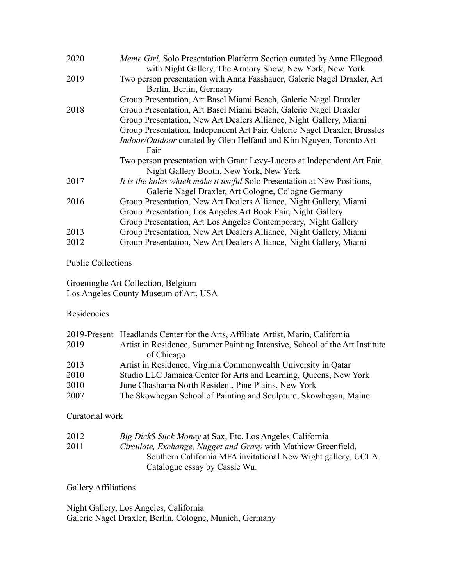| 2020 | <i>Meme Girl</i> , Solo Presentation Platform Section curated by Anne Ellegood<br>with Night Gallery, The Armory Show, New York, New York |
|------|-------------------------------------------------------------------------------------------------------------------------------------------|
| 2019 | Two person presentation with Anna Fasshauer, Galerie Nagel Draxler, Art                                                                   |
|      | Berlin, Berlin, Germany                                                                                                                   |
|      | Group Presentation, Art Basel Miami Beach, Galerie Nagel Draxler                                                                          |
| 2018 | Group Presentation, Art Basel Miami Beach, Galerie Nagel Draxler                                                                          |
|      | Group Presentation, New Art Dealers Alliance, Night Gallery, Miami                                                                        |
|      | Group Presentation, Independent Art Fair, Galerie Nagel Draxler, Brussles                                                                 |
|      | Indoor/Outdoor curated by Glen Helfand and Kim Nguyen, Toronto Art                                                                        |
|      | Fair                                                                                                                                      |
|      | Two person presentation with Grant Levy-Lucero at Independent Art Fair,                                                                   |
|      | Night Gallery Booth, New York, New York                                                                                                   |
| 2017 | It is the holes which make it useful Solo Presentation at New Positions,                                                                  |
|      | Galerie Nagel Draxler, Art Cologne, Cologne Germany                                                                                       |
| 2016 | Group Presentation, New Art Dealers Alliance, Night Gallery, Miami                                                                        |
|      | Group Presentation, Los Angeles Art Book Fair, Night Gallery                                                                              |
|      | Group Presentation, Art Los Angeles Contemporary, Night Gallery                                                                           |
| 2013 | Group Presentation, New Art Dealers Alliance, Night Gallery, Miami                                                                        |
| 2012 | Group Presentation, New Art Dealers Alliance, Night Gallery, Miami                                                                        |
|      |                                                                                                                                           |

#### Public Collections

Groeninghe Art Collection, Belgium Los Angeles County Museum of Art, USA

#### Residencies

| 2019-Present Headlands Center for the Arts, Affiliate Artist, Marin, California |
|---------------------------------------------------------------------------------|
| Artist in Residence, Summer Painting Intensive, School of the Art Institute     |
| of Chicago                                                                      |
| Artist in Residence, Virginia Commonwealth University in Qatar                  |
| Studio LLC Jamaica Center for Arts and Learning, Queens, New York               |
| June Chashama North Resident, Pine Plains, New York                             |
| The Skowhegan School of Painting and Sculpture, Skowhegan, Maine                |
|                                                                                 |

### Curatorial work

| 2012 | <i>Big Dick\$ \$uck Money</i> at Sax, Etc. Los Angeles California |
|------|-------------------------------------------------------------------|
| 2011 | Circulate, Exchange, Nugget and Gravy with Mathiew Greenfield,    |
|      | Southern California MFA invitational New Wight gallery, UCLA.     |
|      | Catalogue essay by Cassie Wu.                                     |

### Gallery Affiliations

Night Gallery, Los Angeles, California Galerie Nagel Draxler, Berlin, Cologne, Munich, Germany